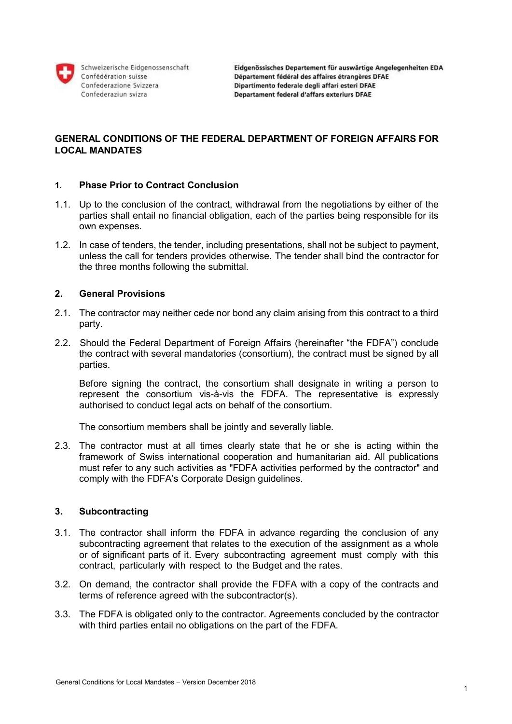

Schweizerische Eidgenossenschaft Confédération suisse Confederazione Svizzera Confederaziun svizra

# **GENERAL CONDITIONS OF THE FEDERAL DEPARTMENT OF FOREIGN AFFAIRS FOR LOCAL MANDATES**

#### **1. Phase Prior to Contract Conclusion**

- 1.1. Up to the conclusion of the contract, withdrawal from the negotiations by either of the parties shall entail no financial obligation, each of the parties being responsible for its own expenses.
- 1.2. In case of tenders, the tender, including presentations, shall not be subject to payment, unless the call for tenders provides otherwise. The tender shall bind the contractor for the three months following the submittal.

# **2. General Provisions**

- 2.1. The contractor may neither cede nor bond any claim arising from this contract to a third party.
- 2.2. Should the Federal Department of Foreign Affairs (hereinafter "the FDFA") conclude the contract with several mandatories (consortium), the contract must be signed by all parties.

Before signing the contract, the consortium shall designate in writing a person to represent the consortium vis-à-vis the FDFA. The representative is expressly authorised to conduct legal acts on behalf of the consortium.

The consortium members shall be jointly and severally liable.

2.3. The contractor must at all times clearly state that he or she is acting within the framework of Swiss international cooperation and humanitarian aid. All publications must refer to any such activities as "FDFA activities performed by the contractor" and comply with the FDFA's Corporate Design guidelines.

# **3. Subcontracting**

- 3.1. The contractor shall inform the FDFA in advance regarding the conclusion of any subcontracting agreement that relates to the execution of the assignment as a whole or of significant parts of it. Every subcontracting agreement must comply with this contract, particularly with respect to the Budget and the rates.
- 3.2. On demand, the contractor shall provide the FDFA with a copy of the contracts and terms of reference agreed with the subcontractor(s).
- 3.3. The FDFA is obligated only to the contractor. Agreements concluded by the contractor with third parties entail no obligations on the part of the FDFA.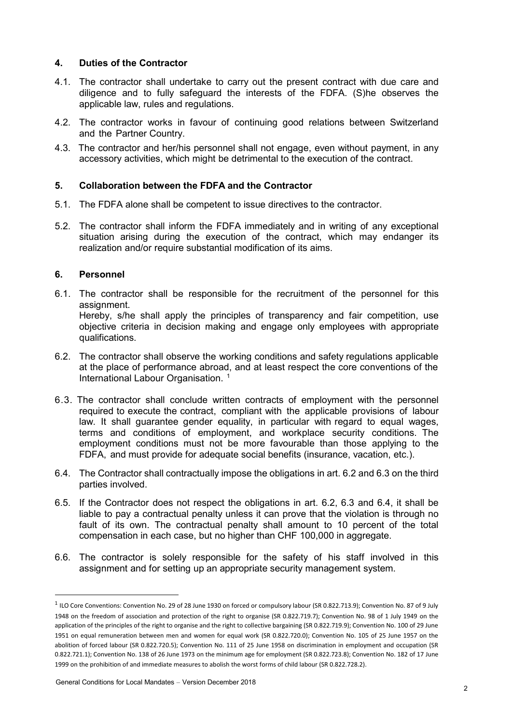# **4. Duties of the Contractor**

- 4.1. The contractor shall undertake to carry out the present contract with due care and diligence and to fully safeguard the interests of the FDFA. (S)he observes the applicable law, rules and regulations.
- 4.2. The contractor works in favour of continuing good relations between Switzerland and the Partner Country.
- 4.3. The contractor and her/his personnel shall not engage, even without payment, in any accessory activities, which might be detrimental to the execution of the contract.

#### **5. Collaboration between the FDFA and the Contractor**

- 5.1. The FDFA alone shall be competent to issue directives to the contractor.
- 5.2. The contractor shall inform the FDFA immediately and in writing of any exceptional situation arising during the execution of the contract, which may endanger its realization and/or require substantial modification of its aims.

#### **6. Personnel**

l

6.1. The contractor shall be responsible for the recruitment of the personnel for this assignment. Hereby, s/he shall apply the principles of transparency and fair competition, use

objective criteria in decision making and engage only employees with appropriate qualifications.

- 6.2. The contractor shall observe the working conditions and safety regulations applicable at the place of performance abroad, and at least respect the core conventions of the International Labour Organisation.<sup>1</sup>
- 6.3. The contractor shall conclude written contracts of employment with the personnel required to execute the contract, compliant with the applicable provisions of labour law. It shall guarantee gender equality, in particular with regard to equal wages, terms and conditions of employment, and workplace security conditions. The employment conditions must not be more favourable than those applying to the FDFA, and must provide for adequate social benefits (insurance, vacation, etc.).
- 6.4. The Contractor shall contractually impose the obligations in art. 6.2 and 6.3 on the third parties involved.
- 6.5. If the Contractor does not respect the obligations in art. 6.2, 6.3 and 6.4, it shall be liable to pay a contractual penalty unless it can prove that the violation is through no fault of its own. The contractual penalty shall amount to 10 percent of the total compensation in each case, but no higher than CHF 100,000 in aggregate.
- 6.6. The contractor is solely responsible for the safety of his staff involved in this assignment and for setting up an appropriate security management system.

<sup>1</sup> ILO Core Conventions: Convention No. 29 of 28 June 1930 on forced or compulsory labour (SR 0.822.713.9); Convention No. 87 of 9 July 1948 on the freedom of association and protection of the right to organise (SR 0.822.719.7); Convention No. 98 of 1 July 1949 on the application of the principles of the right to organise and the right to collective bargaining (SR 0.822.719.9); Convention No. 100 of 29 June 1951 on equal remuneration between men and women for equal work (SR 0.822.720.0); Convention No. 105 of 25 June 1957 on the abolition of forced labour (SR 0.822.720.5); Convention No. 111 of 25 June 1958 on discrimination in employment and occupation (SR 0.822.721.1); Convention No. 138 of 26 June 1973 on the minimum age for employment (SR 0.822.723.8); Convention No. 182 of 17 June 1999 on the prohibition of and immediate measures to abolish the worst forms of child labour (SR 0.822.728.2).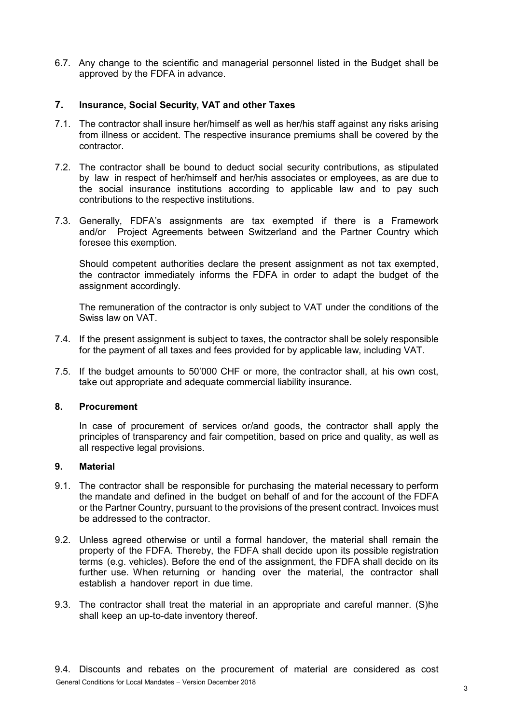6.7. Any change to the scientific and managerial personnel listed in the Budget shall be approved by the FDFA in advance.

# **7. Insurance, Social Security, VAT and other Taxes**

- 7.1. The contractor shall insure her/himself as well as her/his staff against any risks arising from illness or accident. The respective insurance premiums shall be covered by the contractor.
- 7.2. The contractor shall be bound to deduct social security contributions, as stipulated by law in respect of her/himself and her/his associates or employees, as are due to the social insurance institutions according to applicable law and to pay such contributions to the respective institutions.
- 7.3. Generally, FDFA's assignments are tax exempted if there is a Framework and/or Project Agreements between Switzerland and the Partner Country which foresee this exemption.

Should competent authorities declare the present assignment as not tax exempted, the contractor immediately informs the FDFA in order to adapt the budget of the assignment accordingly.

The remuneration of the contractor is only subject to VAT under the conditions of the Swiss law on VAT.

- 7.4. If the present assignment is subject to taxes, the contractor shall be solely responsible for the payment of all taxes and fees provided for by applicable law, including VAT.
- 7.5. If the budget amounts to 50'000 CHF or more, the contractor shall, at his own cost, take out appropriate and adequate commercial liability insurance.

# **8. Procurement**

In case of procurement of services or/and goods, the contractor shall apply the principles of transparency and fair competition, based on price and quality, as well as all respective legal provisions.

# **9. Material**

- 9.1. The contractor shall be responsible for purchasing the material necessary to perform the mandate and defined in the budget on behalf of and for the account of the FDFA or the Partner Country, pursuant to the provisions of the present contract. Invoices must be addressed to the contractor.
- 9.2. Unless agreed otherwise or until a formal handover, the material shall remain the property of the FDFA. Thereby, the FDFA shall decide upon its possible registration terms (e.g. vehicles). Before the end of the assignment, the FDFA shall decide on its further use. When returning or handing over the material, the contractor shall establish a handover report in due time.
- 9.3. The contractor shall treat the material in an appropriate and careful manner. (S)he shall keep an up-to-date inventory thereof.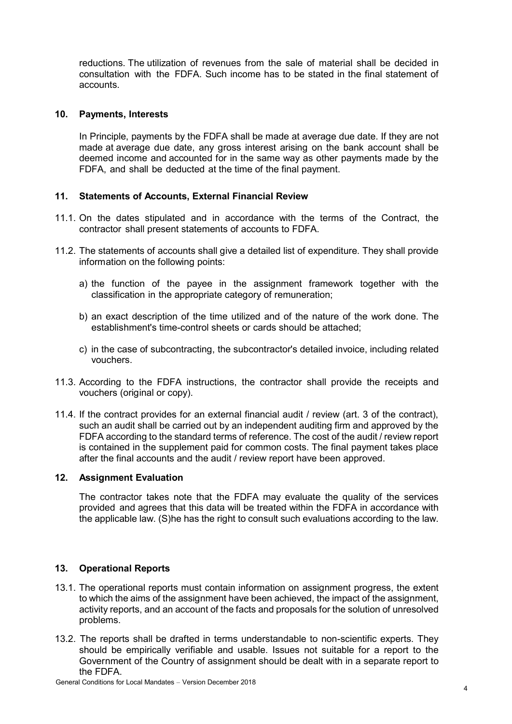reductions. The utilization of revenues from the sale of material shall be decided in consultation with the FDFA. Such income has to be stated in the final statement of accounts.

### **10. Payments, Interests**

In Principle, payments by the FDFA shall be made at average due date. If they are not made at average due date, any gross interest arising on the bank account shall be deemed income and accounted for in the same way as other payments made by the FDFA, and shall be deducted at the time of the final payment.

# **11. Statements of Accounts, External Financial Review**

- 11.1. On the dates stipulated and in accordance with the terms of the Contract, the contractor shall present statements of accounts to FDFA.
- 11.2. The statements of accounts shall give a detailed list of expenditure. They shall provide information on the following points:
	- a) the function of the payee in the assignment framework together with the classification in the appropriate category of remuneration;
	- b) an exact description of the time utilized and of the nature of the work done. The establishment's time-control sheets or cards should be attached;
	- c) in the case of subcontracting, the subcontractor's detailed invoice, including related vouchers.
- 11.3. According to the FDFA instructions, the contractor shall provide the receipts and vouchers (original or copy).
- 11.4. If the contract provides for an external financial audit / review (art. 3 of the contract), such an audit shall be carried out by an independent auditing firm and approved by the FDFA according to the standard terms of reference. The cost of the audit / review report is contained in the supplement paid for common costs. The final payment takes place after the final accounts and the audit / review report have been approved.

#### **12. Assignment Evaluation**

The contractor takes note that the FDFA may evaluate the quality of the services provided and agrees that this data will be treated within the FDFA in accordance with the applicable law. (S)he has the right to consult such evaluations according to the law.

# **13. Operational Reports**

- 13.1. The operational reports must contain information on assignment progress, the extent to which the aims of the assignment have been achieved, the impact of the assignment, activity reports, and an account of the facts and proposals for the solution of unresolved problems.
- 13.2. The reports shall be drafted in terms understandable to non-scientific experts. They should be empirically verifiable and usable. Issues not suitable for a report to the Government of the Country of assignment should be dealt with in a separate report to the FDFA.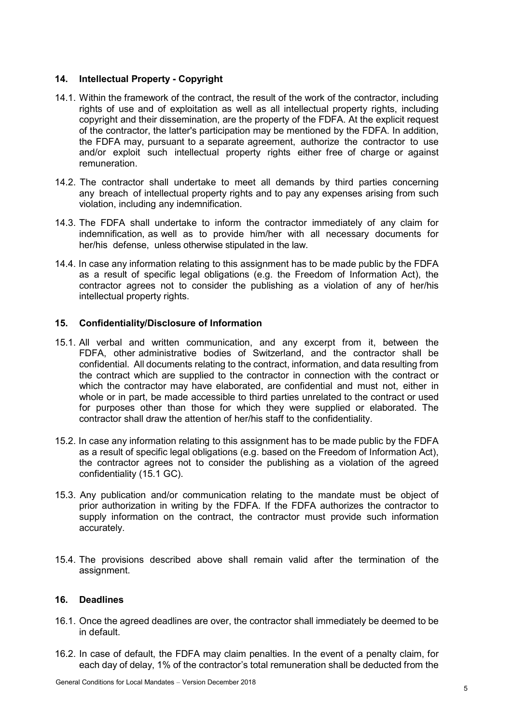# **14. Intellectual Property - Copyright**

- 14.1. Within the framework of the contract, the result of the work of the contractor, including rights of use and of exploitation as well as all intellectual property rights, including copyright and their dissemination, are the property of the FDFA. At the explicit request of the contractor, the latter's participation may be mentioned by the FDFA. In addition, the FDFA may, pursuant to a separate agreement, authorize the contractor to use and/or exploit such intellectual property rights either free of charge or against remuneration.
- 14.2. The contractor shall undertake to meet all demands by third parties concerning any breach of intellectual property rights and to pay any expenses arising from such violation, including any indemnification.
- 14.3. The FDFA shall undertake to inform the contractor immediately of any claim for indemnification, as well as to provide him/her with all necessary documents for her/his defense, unless otherwise stipulated in the law.
- 14.4. In case any information relating to this assignment has to be made public by the FDFA as a result of specific legal obligations (e.g. the Freedom of Information Act), the contractor agrees not to consider the publishing as a violation of any of her/his intellectual property rights.

#### **15. Confidentiality/Disclosure of Information**

- 15.1. All verbal and written communication, and any excerpt from it, between the FDFA, other administrative bodies of Switzerland, and the contractor shall be confidential. All documents relating to the contract, information, and data resulting from the contract which are supplied to the contractor in connection with the contract or which the contractor may have elaborated, are confidential and must not, either in whole or in part, be made accessible to third parties unrelated to the contract or used for purposes other than those for which they were supplied or elaborated. The contractor shall draw the attention of her/his staff to the confidentiality.
- 15.2. In case any information relating to this assignment has to be made public by the FDFA as a result of specific legal obligations (e.g. based on the Freedom of Information Act), the contractor agrees not to consider the publishing as a violation of the agreed confidentiality (15.1 GC).
- 15.3. Any publication and/or communication relating to the mandate must be object of prior authorization in writing by the FDFA. If the FDFA authorizes the contractor to supply information on the contract, the contractor must provide such information accurately.
- 15.4. The provisions described above shall remain valid after the termination of the assignment.

#### **16. Deadlines**

- 16.1. Once the agreed deadlines are over, the contractor shall immediately be deemed to be in default.
- 16.2. In case of default, the FDFA may claim penalties. In the event of a penalty claim, for each day of delay, 1% of the contractor's total remuneration shall be deducted from the